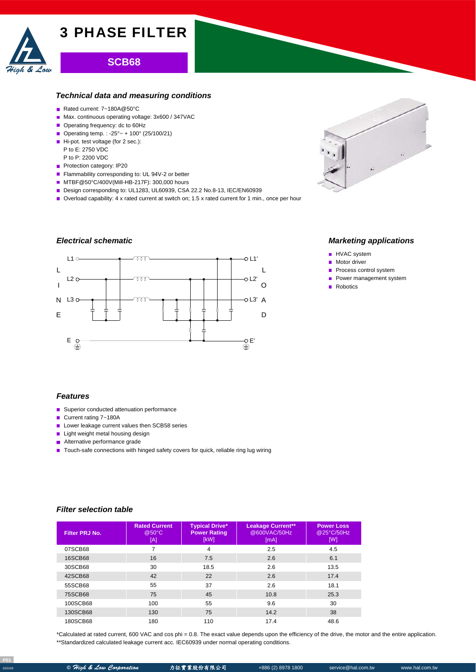

# **SCB68**

#### *Technical data and measuring conditions*

- Rated current: 7~180A@50°C
- Max. continuous operating voltage: 3x600 / 347VAC
- Operating frequency: dc to 60Hz
- Operating temp. : -25° ~ + 100° (25/100/21)
- Hi-pot. test voltage (for 2 sec.): P to E: 2750 VDC
- P to P: 2200 VDC
- Protection category: IP20
- Flammability corresponding to: UL 94V-2 or better
- MTBF@50°C/400V(Mill-HB-217F): 300,000 hours
- Design corresponding to: UL1283, UL60939, CSA 22.2 No.8-13, IEC/EN60939
- Overload capability: 4 x rated current at switch on; 1.5 x rated current for 1 min., once per hour

# *Electrical schematic*





## *Marketing applications*

- **HVAC** system
- **Motor driver**
- Process control system
- **Power management system**
- Robotics

#### *Features*

- Superior conducted attenuation performance
- Current rating 7~180A
- Lower leakage current values then SCB58 series
- **Light weight metal housing design**
- **Alternative performance grade**
- Touch-safe connections with hinged safety covers for quick, reliable ring lug wiring

#### *Filter selection table*

| Filter PRJ No. | <b>Rated Current</b><br>@50°C<br>[A] | <b>Typical Drive*</b><br><b>Power Rating</b><br>[kW] | <b>Leakage Current**</b><br>@600VAC/50Hz<br>[mA] | <b>Power Loss</b><br>@25°C/50Hz<br>[W] |
|----------------|--------------------------------------|------------------------------------------------------|--------------------------------------------------|----------------------------------------|
| 07SCB68        | 7                                    | 4                                                    | 2.5                                              | 4.5                                    |
| 16SCB68        | 16                                   | 7.5                                                  | 2.6                                              | 6.1                                    |
| 30SCB68        | 30                                   | 18.5                                                 | 2.6                                              | 13.5                                   |
| 42SCB68        | 42                                   | 22                                                   | 2.6                                              | 17.4                                   |
| 55SCB68        | 55                                   | 37                                                   | 2.6                                              | 18.1                                   |
| 75SCB68        | 75                                   | 45                                                   | 10.8                                             | 25.3                                   |
| 100SCB68       | 100                                  | 55                                                   | 9.6                                              | 30                                     |
| 130SCB68       | 130                                  | 75                                                   | 14.2                                             | 38                                     |
| 180SCB68       | 180                                  | 110                                                  | 17.4                                             | 48.6                                   |

\*Calculated at rated current, 600 VAC and cos phi = 0.8. The exact value depends upon the efficiency of the drive, the motor and the entire application. \*\*Standardized calculated leakage current acc. IEC60939 under normal operating conditions.